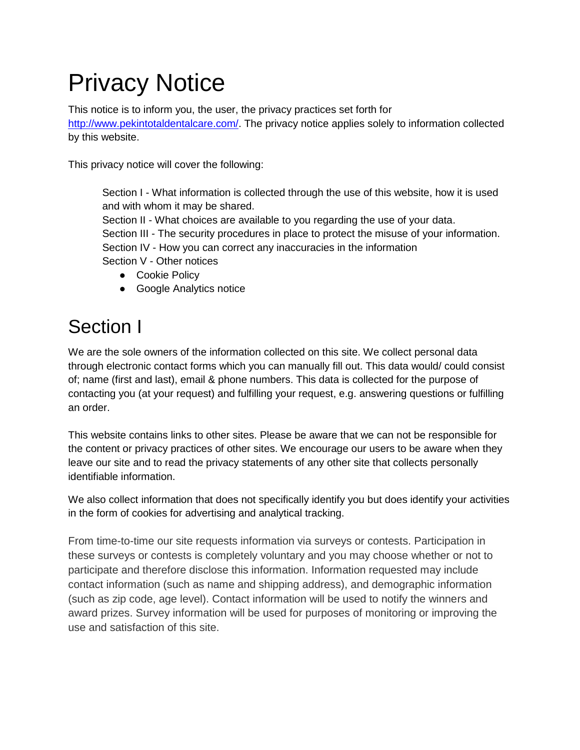# Privacy Notice

This notice is to inform you, the user, the privacy practices set forth for [http://www.pekintotaldentalcare.com/.](http://www.pekintotaldentalcare.com/) The privacy notice applies solely to information collected by this website.

This privacy notice will cover the following:

Section I - What information is collected through the use of this website, how it is used and with whom it may be shared.

Section II - What choices are available to you regarding the use of your data. Section III - The security procedures in place to protect the misuse of your information. Section IV - How you can correct any inaccuracies in the information Section V - Other notices

- Cookie Policy
- Google Analytics notice

# Section I

We are the sole owners of the information collected on this site. We collect personal data through electronic contact forms which you can manually fill out. This data would/ could consist of; name (first and last), email & phone numbers. This data is collected for the purpose of contacting you (at your request) and fulfilling your request, e.g. answering questions or fulfilling an order.

This website contains links to other sites. Please be aware that we can not be responsible for the content or privacy practices of other sites. We encourage our users to be aware when they leave our site and to read the privacy statements of any other site that collects personally identifiable information.

We also collect information that does not specifically identify you but does identify your activities in the form of cookies for advertising and analytical tracking.

From time-to-time our site requests information via surveys or contests. Participation in these surveys or contests is completely voluntary and you may choose whether or not to participate and therefore disclose this information. Information requested may include contact information (such as name and shipping address), and demographic information (such as zip code, age level). Contact information will be used to notify the winners and award prizes. Survey information will be used for purposes of monitoring or improving the use and satisfaction of this site.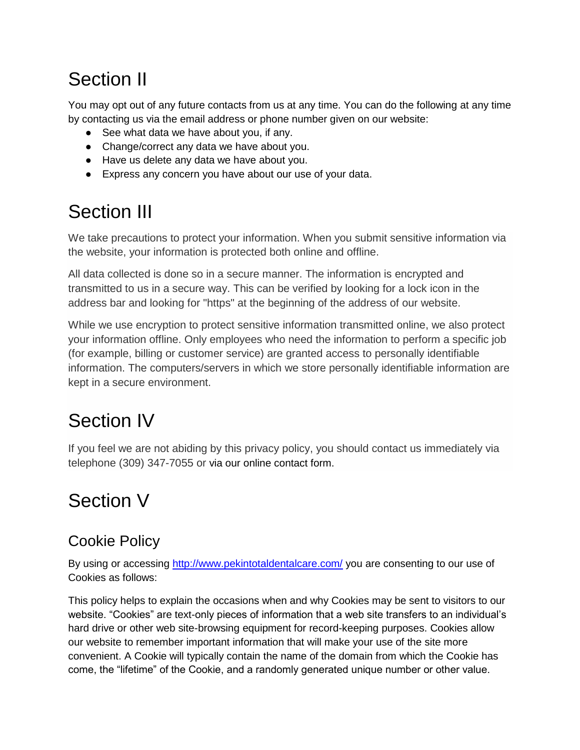# Section II

You may opt out of any future contacts from us at any time. You can do the following at any time by contacting us via the email address or phone number given on our website:

- See what data we have about you, if any.
- Change/correct any data we have about you.
- Have us delete any data we have about you.
- Express any concern you have about our use of your data.

### Section III

We take precautions to protect your information. When you submit sensitive information via the website, your information is protected both online and offline.

All data collected is done so in a secure manner. The information is encrypted and transmitted to us in a secure way. This can be verified by looking for a lock icon in the address bar and looking for "https" at the beginning of the address of our website.

While we use encryption to protect sensitive information transmitted online, we also protect your information offline. Only employees who need the information to perform a specific job (for example, billing or customer service) are granted access to personally identifiable information. The computers/servers in which we store personally identifiable information are kept in a secure environment.

# Section IV

If you feel we are not abiding by this privacy policy, you should contact us immediately via telephone (309) 347-7055 or via our online contact form.

#### Section V

#### Cookie Policy

By using or accessing<http://www.pekintotaldentalcare.com/> you are consenting to our use of Cookies as follows:

This policy helps to explain the occasions when and why Cookies may be sent to visitors to our website. "Cookies" are text-only pieces of information that a web site transfers to an individual's hard drive or other web site-browsing equipment for record-keeping purposes. Cookies allow our website to remember important information that will make your use of the site more convenient. A Cookie will typically contain the name of the domain from which the Cookie has come, the "lifetime" of the Cookie, and a randomly generated unique number or other value.